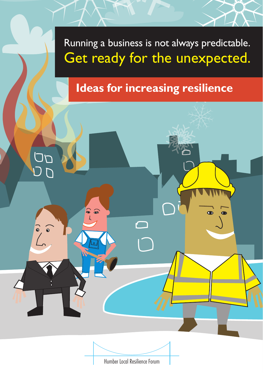# Running a business is not always predictable. Get ready for the unexpected.

# **Ideas for increasing resilience**

 $\bullet$ 

 $\bullet$ 



 $\widehat{\bullet}$ 

 $\begin{bmatrix} 2 \\ 1 \end{bmatrix}$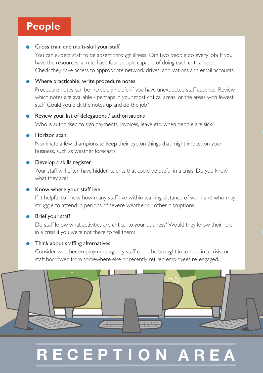### **People**

#### **Cross train and multi-skill your staff**

You can expect staff to be absent through illness. Can two people do every job? If you have the resources, aim to have four people capable of doing each critical role. Check they have access to appropriate network drives, applications and email accounts.

#### Where practicable, write procedure notes

Procedure notes can be incredibly helpful if you have unexpected staff absence. Review which notes are available - perhaps in your most critical areas, or the areas with fewest staff. Could you pick the notes up and do the job?

#### Review your list of delegations / authorisations

Who is authorised to sign payments, invoices, leave etc. when people are sick?

#### Horizon scan

Nominate a few champions to keep their eye on things that might impact on your business, such as weather forecasts.

#### **Develop a skills register**

Your staff will often have hidden talents that could be useful in a crisis. Do you know what they are?

#### Know where your staff live

If it helpful to know how many staff live within walking distance of work and who may struggle to attend in periods of severe weather or other disruptions.

#### Brief your staff

Do staff know what activities are critical to your business? Would they know their role in a crisis if you were not there to tell them?

#### **•** Think about staffing alternatives

Consider whether employment agency staff could be brought in to help in a crisis, or staff borrowed from somewhere else or recently retired employees re-engaged.



# **RECEPTION AR**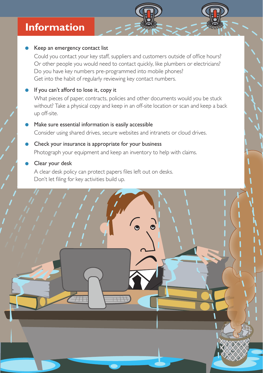### **Information**

#### Keep an emergency contact list

Could you contact your key staff, suppliers and customers outside of office hours? Or other people you would need to contact quickly, like plumbers or electricians? Do you have key numbers pre-programmed into mobile phones? Get into the habit of regularly reviewing key contact numbers.

#### If you can't afford to lose it, copy it

What pieces of paper, contracts, policies and other documents would you be stuck without? Take a physical copy and keep in an off-site location or scan and keep a back up off-site.

#### Make sure essential information is easily accessible Consider using shared drives, secure websites and intranets or cloud drives.

Check your insurance is appropriate for your business Photograph your equipment and keep an inventory to help with claims.

#### Clear your desk

A clear desk policy can protect papers files left out on desks. Don't let filing for key activities build up.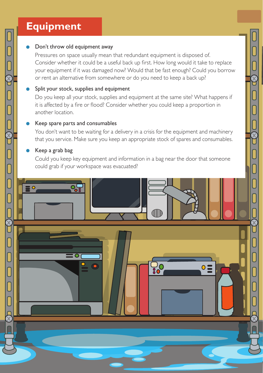### **Equipment**

#### Don't throw old equipment away

Pressures on space usually mean that redundant equipment is disposed of. Consider whether it could be a useful back up first. How long would it take to replace your equipment if it was damaged now? Would that be fast enough? Could you borrow or rent an alternative from somewhere or do you need to keep a back up?

#### Split your stock, supplies and equipment

Do you keep all your stock, supplies and equipment at the same site? What happens if it is affected by a fire or flood? Consider whether you could keep a proportion in another location.

#### Keep spare parts and consumables

You don't want to be waiting for a delivery in a crisis for the equipment and machinery that you service. Make sure you keep an appropriate stock of spares and consumables.

#### Keep a grab bag

ſ

**E** 

Could you keep key equipment and information in a bag near the door that someone could grab if your workspace was evacuated?

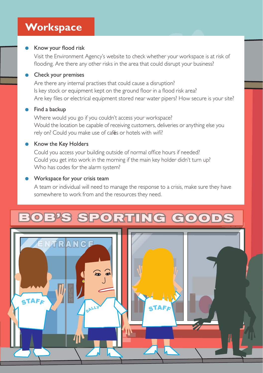### **Workspace**

#### Know your flood risk

Visit the Environment Agency's website to check whether your workspace is at risk of flooding. Are there any other risks in the area that could disrupt your business?

#### Check your premises

Are there any internal practises that could cause a disruption? Is key stock or equipment kept on the ground floor in a flood risk area? Are key files or electrical equipment stored near water pipers? How secure is your site?

#### • Find a backup

Where would you go if you couldn't access your workspace? Would the location be capable of receiving customers, deliveries or anything else you rely on? Could you make use of cafés or hotels with wifi?

#### ● Know the Key Holders

Could you access your building outside of normal office hours if needed? Could you get into work in the morning if the main key holder didn't turn up? Who has codes for the alarm system?

#### • Workspace for your crisis team

A team or individual will need to manage the response to a crisis, make sure they have somewhere to work from and the resources they need.



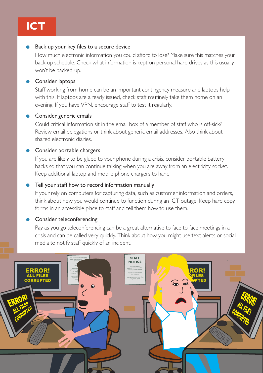## **ICT**

#### Back up your key files to a secure device

How much electronic information you could afford to lose? Make sure this matches your back-up schedule. Check what information is kept on personal hard drives as this usually won't be backed-up.

#### Consider laptops

Staff working from home can be an important contingency measure and laptops help with this. If laptops are already issued, check staff routinely take them home on an evening. If you have VPN, encourage staff to test it regularly.

#### Consider generic emails

Could critical information sit in the email box of a member of staff who is off-sick? Review email delegations or think about generic email addresses. Also think about shared electronic diaries.

#### Consider portable chargers

If you are likely to be glued to your phone during a crisis, consider portable battery backs so that you can continue talking when you are away from an electricity socket. Keep additional laptop and mobile phone chargers to hand.

#### Tell your staff how to record information manually

If your rely on computers for capturing data, such as customer information and orders, think about how you would continue to function during an ICT outage. Keep hard copy forms in an accessible place to staff and tell them how to use them.

#### Consider teleconferencing

Pay as you go teleconferencing can be a great alternative to face to face meetings in a crisis and can be called very quickly. Think about how you might use text alerts or social media to notify staff quickly of an incident.

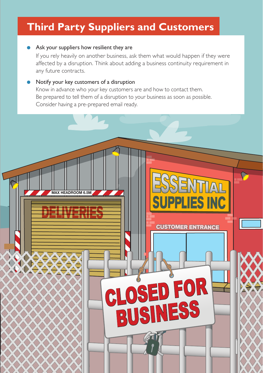### **Third Party Suppliers and Customers**

#### Ask your suppliers how resilient they are

If you rely heavily on another business, ask them what would happen if they were affected by a disruption. Think about adding a business continuity requirement in any future contracts.

**LIES INC** 

**CUSTOMER ENTRANCE**

OSED FOR

**BUSINESS** 

#### Notify your key customers of a disruption

**MAX HEADROOM 6.5M**

Know in advance who your key customers are and how to contact them. Be prepared to tell them of a disruption to your business as soon as possible. Consider having a pre-prepared email ready.